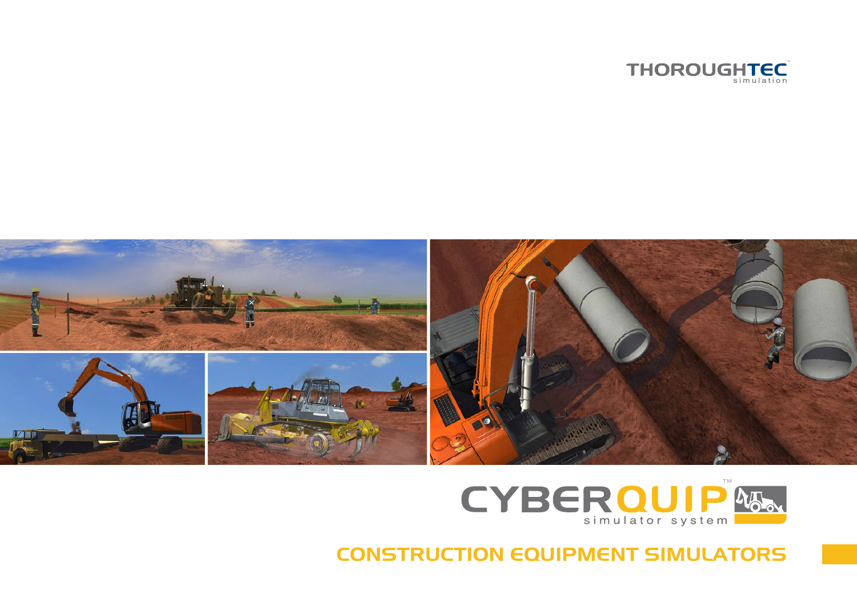





CONSTRUCTION EQUIPMENT SIMULATORS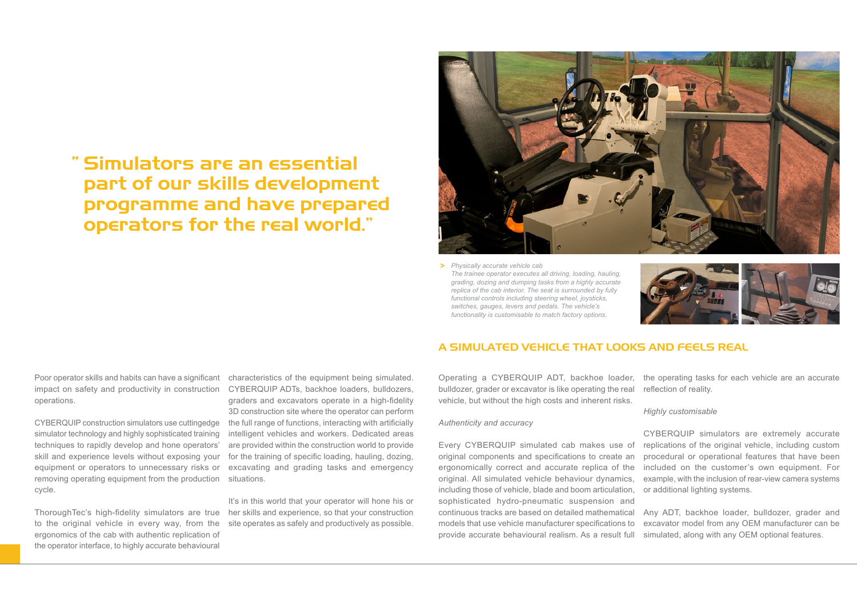# Simulators are an essential "part of our skills development programme and have prepared operators for the real world."



*Physically accurate vehicle cab* **>** *The trainee operator executes all driving, loading, hauling, grading, dozing and dumping tasks from a highly accurate replica of the cab interior. The seat is surrounded by fully functional controls including steering wheel, joysticks, switches, gauges, levers and pedals. The vehicle's functionality is customisable to match factory options.*



Poor operator skills and habits can have a significant impact on safety and productivity in construction operations.

CYBERQUIP construction simulators use cuttingedge simulator technology and highly sophisticated training techniques to rapidly develop and hone operators' skill and experience levels without exposing your equipment or operators to unnecessary risks or removing operating equipment from the production cycle.

ThoroughTec's high-fidelity simulators are true to the original vehicle in every way, from the ergonomics of the cab with authentic replication of the operator interface, to highly accurate behavioural

characteristics of the equipment being simulated. CYBERQUIP ADTs, backhoe loaders, bulldozers, graders and excavators operate in a high-fidelity 3D construction site where the operator can perform the full range of functions, interacting with artificially intelligent vehicles and workers. Dedicated areas are provided within the construction world to provide for the training of specific loading, hauling, dozing, excavating and grading tasks and emergency situations.

It's in this world that your operator will hone his or her skills and experience, so that your construction site operates as safely and productively as possible.

## A SIMULATED VEHICLE THAT LOOKS AND FEELS REAL

Operating a CYBERQUIP ADT, backhoe loader, bulldozer, grader or excavator is like operating the real vehicle, but without the high costs and inherent risks.

### *Authenticity and accuracy*

Every CYBERQUIP simulated cab makes use of original components and specifications to create an ergonomically correct and accurate replica of the original. All simulated vehicle behaviour dynamics, including those of vehicle, blade and boom articulation, sophisticated hydro-pneumatic suspension and continuous tracks are based on detailed mathematical models that use vehicle manufacturer specifications to provide accurate behavioural realism. As a result full

the operating tasks for each vehicle are an accurate reflection of reality.

*Highly customisable*

CYBERQUIP simulators are extremely accurate replications of the original vehicle, including custom procedural or operational features that have been included on the customer's own equipment. For example, with the inclusion of rear-view camera systems or additional lighting systems.

Any ADT, backhoe loader, bulldozer, grader and excavator model from any OEM manufacturer can be simulated, along with any OEM optional features.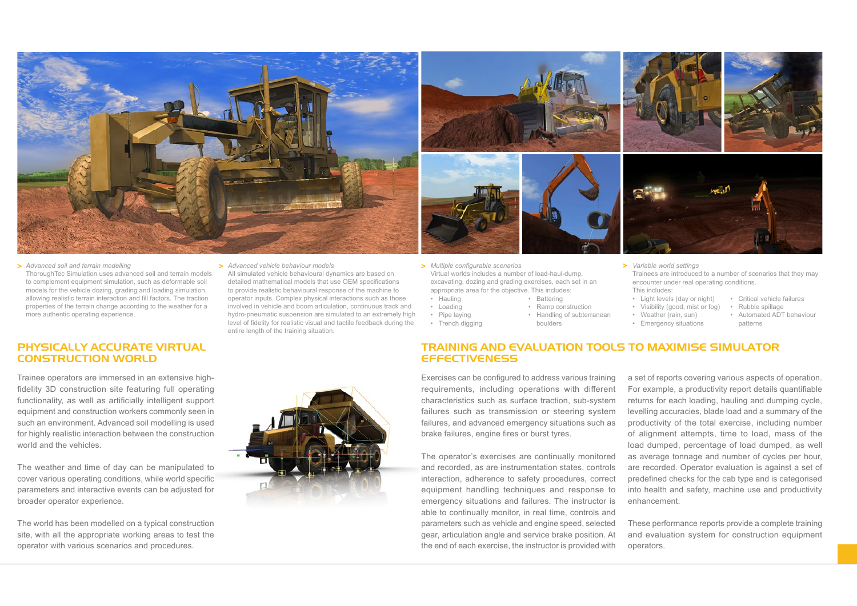

*Advanced vehicle behaviour models* **> > > >** *Variable world settings Advanced soil and terrain modelling* ThoroughTec Simulation uses advanced soil and terrain models to complement equipment simulation, such as deformable soil models for the vehicle dozing, grading and loading simulation, allowing realistic terrain interaction and fill factors. The traction properties of the terrain change according to the weather for a more authentic operating experience.

## PHYSICALLY ACCURATE VIRTUAL CONSTRUCTION WORLD

Trainee operators are immersed in an extensive highfidelity 3D construction site featuring full operating functionality, as well as artificially intelligent support equipment and construction workers commonly seen in such an environment. Advanced soil modelling is used for highly realistic interaction between the construction world and the vehicles.

The weather and time of day can be manipulated to cover various operating conditions, while world specific parameters and interactive events can be adjusted for broader operator experience.

The world has been modelled on a typical construction site, with all the appropriate working areas to test the operator with various scenarios and procedures.

All simulated vehicle behavioural dynamics are based on detailed mathematical models that use OEM specifications to provide realistic behavioural response of the machine to operator inputs. Complex physical interactions such as those involved in vehicle and boom articulation, continuous track and hydro-pneumatic suspension are simulated to an extremely high level of fidelity for realistic visual and tactile feedback during the entire length of the training situation.



- *Multiple configurable scenarios* Virtual worlds includes a number of load-haul-dump, excavating, dozing and grading exercises, each set in an appropriate area for the objective. This includes:
	- Hauling • Loading • Battering • Ramp construction
- Pipe laying
- Trench digging
- Trainees are introduced to a number of scenarios that they may encounter under real operating conditions. This includes:
	- Light levels (day or night) • Critical vehicle failures
	- Visibility (good, mist or fog) • Rubble spillage
	- Weather (rain, sun) • Automated ADT behaviour
	- Emergency situations patterns

# TRAINING AND EVALUATION TOOLS TO MAXIMISE SIMULATOR **EFFECTIVENESS**

• Handling of subterranean

boulders

Exercises can be configured to address various training requirements, including operations with different characteristics such as surface traction, sub-system failures such as transmission or steering system failures, and advanced emergency situations such as brake failures, engine fires or burst tyres.

The operator's exercises are continually monitored and recorded, as are instrumentation states, controls interaction, adherence to safety procedures, correct equipment handling techniques and response to emergency situations and failures. The instructor is able to continually monitor, in real time, controls and parameters such as vehicle and engine speed, selected gear, articulation angle and service brake position. At the end of each exercise, the instructor is provided with

a set of reports covering various aspects of operation. For example, a productivity report details quantifiable returns for each loading, hauling and dumping cycle, levelling accuracies, blade load and a summary of the productivity of the total exercise, including number of alignment attempts, time to load, mass of the load dumped, percentage of load dumped, as well as average tonnage and number of cycles per hour, are recorded. Operator evaluation is against a set of predefined checks for the cab type and is categorised into health and safety, machine use and productivity enhancement.

These performance reports provide a complete training and evaluation system for construction equipment operators.